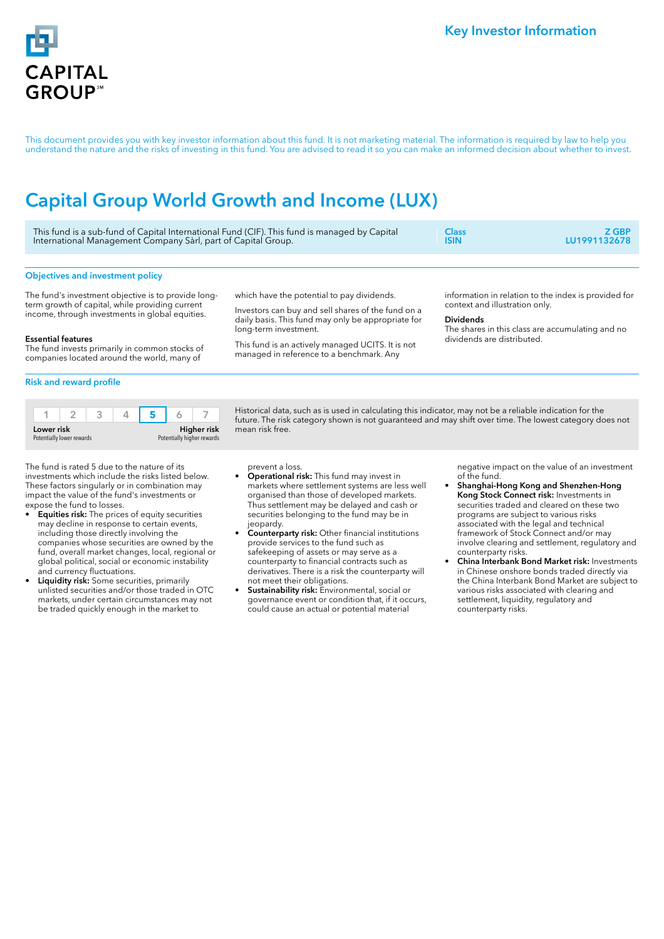

This document provides you with key investor information about this fund. It is not marketing material. The information is required by law to help you understand the nature and the risks of investing in this fund. You are advised to read it so you can make an informed decision about whether to invest.

# Capital Group World Growth and Income (LUX)

| This fund is a sub-fund of Capital International Fund (CIF). This fund is managed by Capital | <b>Class</b> | <b>Z GBP</b> |
|----------------------------------------------------------------------------------------------|--------------|--------------|
| International Management Company Sàrl, part of Capital Group.                                | <b>ISIN</b>  | LU1991132678 |
| <b>Objectives and investment policy</b>                                                      |              |              |

The fund's investment objective is to provide longterm growth of capital, while providing current income, through investments in global equities.

which have the potential to pay dividends.

Investors can buy and sell shares of the fund on a daily basis. This fund may only be appropriate for long-term investment.

This fund is an actively managed UCITS. It is not managed in reference to a benchmark. Any

information in relation to the index is provided for context and illustration only.

## Dividends

The shares in this class are accumulating and no dividends are distributed.

## Essential features

The fund invests primarily in common stocks of companies located around the world, many of

## Risk and reward profile

| Lower risk                |  |  | Higher risk                |  |  |  |
|---------------------------|--|--|----------------------------|--|--|--|
| Potentially lower rewards |  |  | Potentially higher rewards |  |  |  |

Historical data, such as is used in calculating this indicator, may not be a reliable indication for the future. The risk category shown is not guaranteed and may shift over time. The lowest category does not mean risk free.

The fund is rated 5 due to the nature of its investments which include the risks listed below. These factors singularly or in combination may impact the value of the fund's investments or expose the fund to losses.

- **Equities risk:** The prices of equity securities may decline in response to certain events, including those directly involving the companies whose securities are owned by the fund, overall market changes, local, regional or global political, social or economic instability and currency fluctuations.
- Liquidity risk: Some securities, primarily unlisted securities and/or those traded in OTC markets, under certain circumstances may not be traded quickly enough in the market to

prevent a loss.

- Operational risk: This fund may invest in markets where settlement systems are less well organised than those of developed markets. Thus settlement may be delayed and cash or securities belonging to the fund may be in jeopardy.
- Counterparty risk: Other financial institutions provide services to the fund such as safekeeping of assets or may serve as a counterparty to financial contracts such as derivatives. There is a risk the counterparty will not meet their obligations.
- Sustainability risk: Environmental, social or governance event or condition that, if it occurs, could cause an actual or potential material

negative impact on the value of an investment of the fund.

- Shanghai-Hong Kong and Shenzhen-Hong Kong Stock Connect risk: Investments in securities traded and cleared on these two programs are subject to various risks associated with the legal and technical framework of Stock Connect and/or may involve clearing and settlement, regulatory and counterparty risks.
- China Interbank Bond Market risk: Investments in Chinese onshore bonds traded directly via the China Interbank Bond Market are subject to various risks associated with clearing and settlement, liquidity, regulatory and counterparty risks.